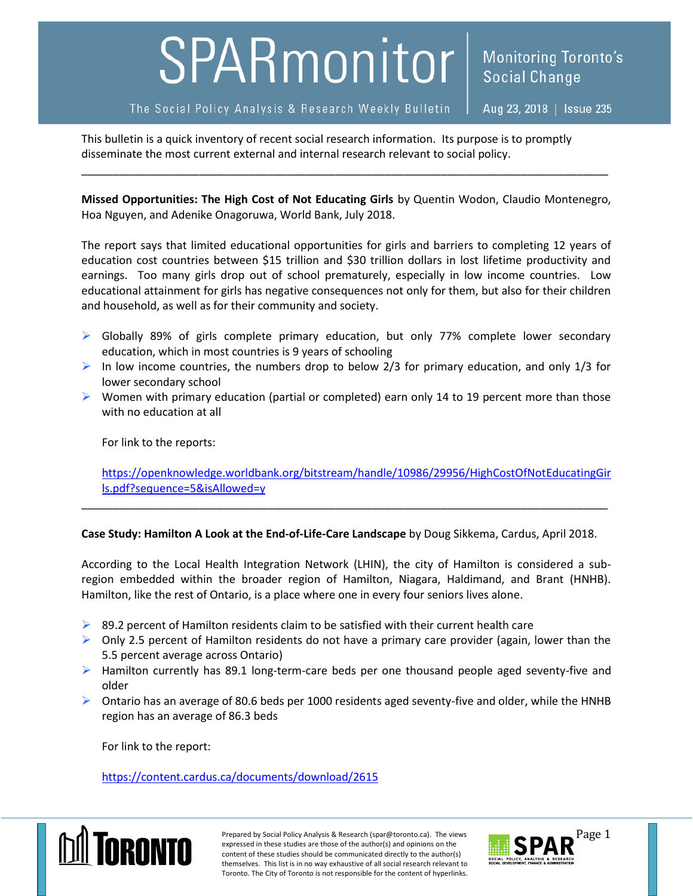## SPARmonitor

The Social Policy Analysis & Research Weekly Bulletin

Aug 23, 2018 | Issue 235

**Monitoring Toronto's** 

**Social Change** 

This bulletin is a quick inventory of recent social research information. Its purpose is to promptly disseminate the most current external and internal research relevant to social policy.

**Missed Opportunities: The High Cost of Not Educating Girls** by Quentin Wodon, Claudio Montenegro, Hoa Nguyen, and Adenike Onagoruwa, World Bank, July 2018.

\_\_\_\_\_\_\_\_\_\_\_\_\_\_\_\_\_\_\_\_\_\_\_\_\_\_\_\_\_\_\_\_\_\_\_\_\_\_\_\_\_\_\_\_\_\_\_\_\_\_\_\_\_\_\_\_\_\_\_\_\_\_\_\_\_\_\_\_\_\_\_\_\_\_\_\_\_\_\_\_\_\_\_\_\_

The report says that limited educational opportunities for girls and barriers to completing 12 years of education cost countries between \$15 trillion and \$30 trillion dollars in lost lifetime productivity and earnings. Too many girls drop out of school prematurely, especially in low income countries. Low educational attainment for girls has negative consequences not only for them, but also for their children and household, as well as for their community and society.

- $\triangleright$  Globally 89% of girls complete primary education, but only 77% complete lower secondary education, which in most countries is 9 years of schooling
- In low income countries, the numbers drop to below 2/3 for primary education, and only 1/3 for lower secondary school
- $\triangleright$  Women with primary education (partial or completed) earn only 14 to 19 percent more than those with no education at all

For link to the reports:

[https://openknowledge.worldbank.org/bitstream/handle/10986/29956/HighCostOfNotEducatingGir](https://openknowledge.worldbank.org/bitstream/handle/10986/29956/HighCostOfNotEducatingGirls.pdf?sequence=5&isAllowed=y) [ls.pdf?sequence=5&isAllowed=y](https://openknowledge.worldbank.org/bitstream/handle/10986/29956/HighCostOfNotEducatingGirls.pdf?sequence=5&isAllowed=y)

## **Case Study: Hamilton A Look at the End-of-Life-Care Landscape** by Doug Sikkema, Cardus, April 2018.

\_\_\_\_\_\_\_\_\_\_\_\_\_\_\_\_\_\_\_\_\_\_\_\_\_\_\_\_\_\_\_\_\_\_\_\_\_\_\_\_\_\_\_\_\_\_\_\_\_\_\_\_\_\_\_\_\_\_\_\_\_\_\_\_\_\_\_\_\_\_\_\_\_\_\_\_\_\_\_\_\_\_\_\_\_

According to the Local Health Integration Network (LHIN), the city of Hamilton is considered a subregion embedded within the broader region of Hamilton, Niagara, Haldimand, and Brant (HNHB). Hamilton, like the rest of Ontario, is a place where one in every four seniors lives alone.

- $\triangleright$  89.2 percent of Hamilton residents claim to be satisfied with their current health care
- $\triangleright$  Only 2.5 percent of Hamilton residents do not have a primary care provider (again, lower than the 5.5 percent average across Ontario)
- $\triangleright$  Hamilton currently has 89.1 long-term-care beds per one thousand people aged seventy-five and older
- $\triangleright$  Ontario has an average of 80.6 beds per 1000 residents aged seventy-five and older, while the HNHB region has an average of 86.3 beds

For link to the report:

<https://content.cardus.ca/documents/download/2615>



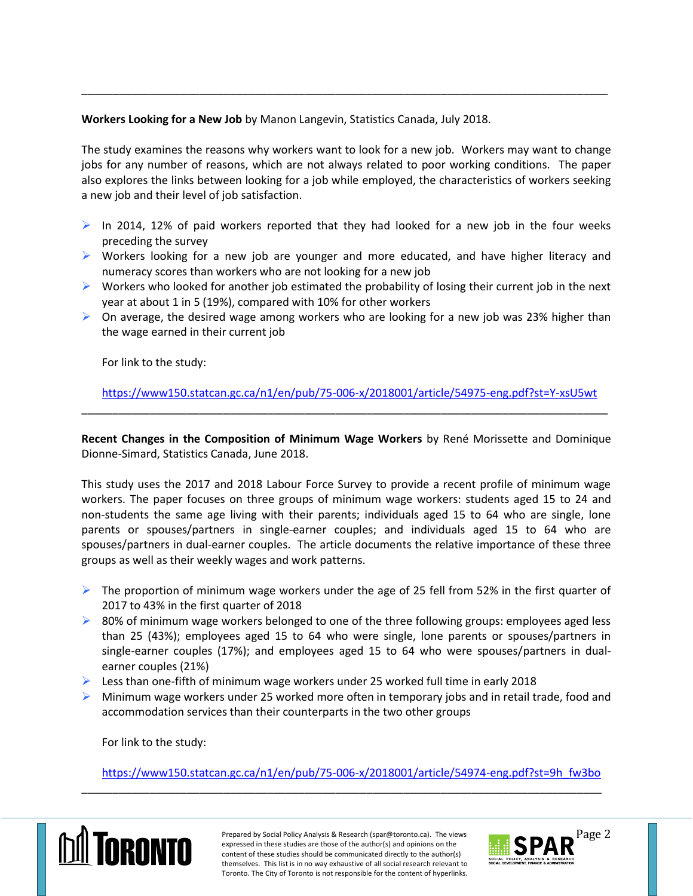**Workers Looking for a New Job** by Manon Langevin, Statistics Canada, July 2018.

The study examines the reasons why workers want to look for a new job. Workers may want to change jobs for any number of reasons, which are not always related to poor working conditions. The paper also explores the links between looking for a job while employed, the characteristics of workers seeking a new job and their level of job satisfaction.

\_\_\_\_\_\_\_\_\_\_\_\_\_\_\_\_\_\_\_\_\_\_\_\_\_\_\_\_\_\_\_\_\_\_\_\_\_\_\_\_\_\_\_\_\_\_\_\_\_\_\_\_\_\_\_\_\_\_\_\_\_\_\_\_\_\_\_\_\_\_\_\_\_\_\_\_\_\_\_\_\_\_\_\_\_

- $\triangleright$  In 2014, 12% of paid workers reported that they had looked for a new job in the four weeks preceding the survey
- $\triangleright$  Workers looking for a new job are younger and more educated, and have higher literacy and numeracy scores than workers who are not looking for a new job
- $\triangleright$  Workers who looked for another job estimated the probability of losing their current job in the next year at about 1 in 5 (19%), compared with 10% for other workers
- $\triangleright$  On average, the desired wage among workers who are looking for a new job was 23% higher than the wage earned in their current job

For link to the study:

<https://www150.statcan.gc.ca/n1/en/pub/75-006-x/2018001/article/54975-eng.pdf?st=Y-xsU5wt> \_\_\_\_\_\_\_\_\_\_\_\_\_\_\_\_\_\_\_\_\_\_\_\_\_\_\_\_\_\_\_\_\_\_\_\_\_\_\_\_\_\_\_\_\_\_\_\_\_\_\_\_\_\_\_\_\_\_\_\_\_\_\_\_\_\_\_\_\_\_\_\_\_\_\_\_\_\_\_\_\_\_\_\_\_

**Recent Changes in the Composition of Minimum Wage Workers** by René Morissette and Dominique Dionne-Simard, Statistics Canada, June 2018.

This study uses the 2017 and 2018 Labour Force Survey to provide a recent profile of minimum wage workers. The paper focuses on three groups of minimum wage workers: students aged 15 to 24 and non-students the same age living with their parents; individuals aged 15 to 64 who are single, lone parents or spouses/partners in single-earner couples; and individuals aged 15 to 64 who are spouses/partners in dual-earner couples. The article documents the relative importance of these three groups as well as their weekly wages and work patterns.

- $\triangleright$  The proportion of minimum wage workers under the age of 25 fell from 52% in the first quarter of 2017 to 43% in the first quarter of 2018
- $\triangleright$  80% of minimum wage workers belonged to one of the three following groups: employees aged less than 25 (43%); employees aged 15 to 64 who were single, lone parents or spouses/partners in single-earner couples (17%); and employees aged 15 to 64 who were spouses/partners in dualearner couples (21%)
- Eess than one-fifth of minimum wage workers under 25 worked full time in early 2018
- $\triangleright$  Minimum wage workers under 25 worked more often in temporary jobs and in retail trade, food and accommodation services than their counterparts in the two other groups

For link to the study:

[https://www150.statcan.gc.ca/n1/en/pub/75-006-x/2018001/article/54974-eng.pdf?st=9h\\_fw3bo](https://www150.statcan.gc.ca/n1/en/pub/75-006-x/2018001/article/54974-eng.pdf?st=9h_fw3bo)

\_\_\_\_\_\_\_\_\_\_\_\_\_\_\_\_\_\_\_\_\_\_\_\_\_\_\_\_\_\_\_\_\_\_\_\_\_\_\_\_\_\_\_\_\_\_\_\_\_\_\_\_\_\_\_\_\_\_\_\_\_\_\_\_\_\_\_\_\_\_\_\_\_\_\_\_\_\_\_\_\_\_\_\_